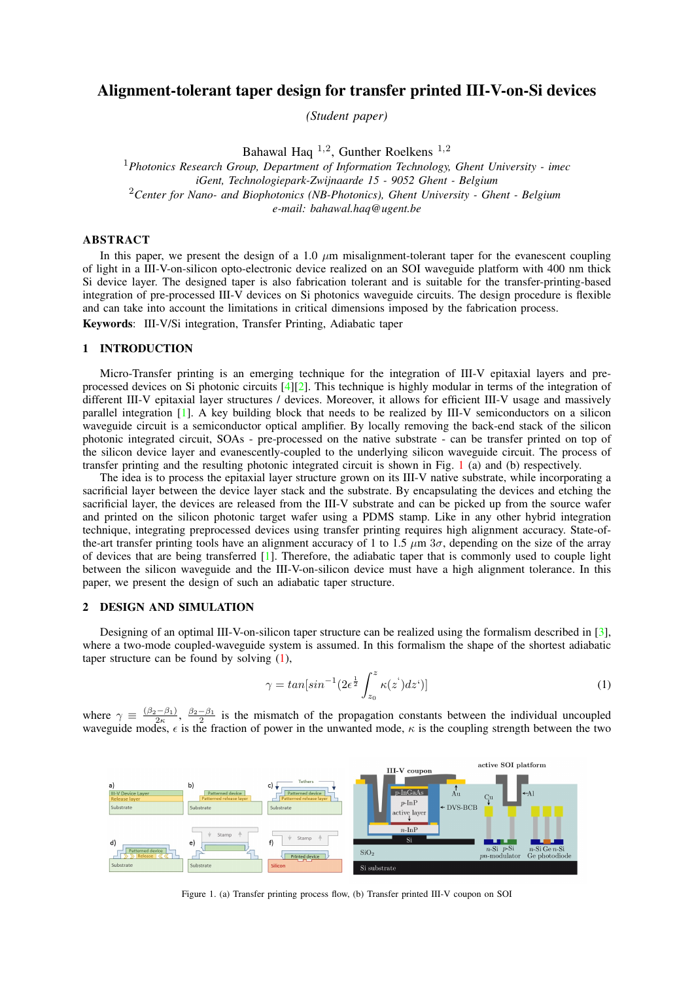# Alignment-tolerant taper design for transfer printed III-V-on-Si devices

*(Student paper)*

Bahawal Haq  $^{1,2}$ , Gunther Roelkens  $^{1,2}$ 

<sup>1</sup>*Photonics Research Group, Department of Information Technology, Ghent University - imec iGent, Technologiepark-Zwijnaarde 15 - 9052 Ghent - Belgium* <sup>2</sup>*Center for Nano- and Biophotonics (NB-Photonics), Ghent University - Ghent - Belgium e-mail: bahawal.haq@ugent.be*

## ABSTRACT

In this paper, we present the design of a 1.0  $\mu$ m misalignment-tolerant taper for the evanescent coupling of light in a III-V-on-silicon opto-electronic device realized on an SOI waveguide platform with 400 nm thick Si device layer. The designed taper is also fabrication tolerant and is suitable for the transfer-printing-based integration of pre-processed III-V devices on Si photonics waveguide circuits. The design procedure is flexible and can take into account the limitations in critical dimensions imposed by the fabrication process.

Keywords: III-V/Si integration, Transfer Printing, Adiabatic taper

#### 1 INTRODUCTION

Micro-Transfer printing is an emerging technique for the integration of III-V epitaxial layers and preprocessed devices on Si photonic circuits [\[4\]](#page-2-0)[\[2\]](#page-2-1). This technique is highly modular in terms of the integration of different III-V epitaxial layer structures / devices. Moreover, it allows for efficient III-V usage and massively parallel integration [\[1\]](#page-2-2). A key building block that needs to be realized by III-V semiconductors on a silicon waveguide circuit is a semiconductor optical amplifier. By locally removing the back-end stack of the silicon photonic integrated circuit, SOAs - pre-processed on the native substrate - can be transfer printed on top of the silicon device layer and evanescently-coupled to the underlying silicon waveguide circuit. The process of transfer printing and the resulting photonic integrated circuit is shown in Fig. [1](#page-0-0) (a) and (b) respectively.

The idea is to process the epitaxial layer structure grown on its III-V native substrate, while incorporating a sacrificial layer between the device layer stack and the substrate. By encapsulating the devices and etching the sacrificial layer, the devices are released from the III-V substrate and can be picked up from the source wafer and printed on the silicon photonic target wafer using a PDMS stamp. Like in any other hybrid integration technique, integrating preprocessed devices using transfer printing requires high alignment accuracy. State-ofthe-art transfer printing tools have an alignment accuracy of 1 to 1.5  $\mu$ m 3 $\sigma$ , depending on the size of the array of devices that are being transferred [\[1\]](#page-2-2). Therefore, the adiabatic taper that is commonly used to couple light between the silicon waveguide and the III-V-on-silicon device must have a high alignment tolerance. In this paper, we present the design of such an adiabatic taper structure.

## 2 DESIGN AND SIMULATION

Designing of an optimal III-V-on-silicon taper structure can be realized using the formalism described in [\[3\]](#page-2-3), where a two-mode coupled-waveguide system is assumed. In this formalism the shape of the shortest adiabatic taper structure can be found by solving [\(1\)](#page-0-1),

<span id="page-0-1"></span>
$$
\gamma = \tan[\sin^{-1}(2\epsilon^{\frac{1}{2}} \int_{z_0}^{z} \kappa(z^{\prime}) dz^{\prime})]
$$
\n(1)

where  $\gamma \equiv \frac{(\beta_2-\beta_1)}{2\kappa}$ ,  $\frac{\beta_2-\beta_1}{2}$  is the mismatch of the propagation constants between the individual uncoupled where  $\gamma = \frac{2\kappa}{2}$ ,  $\frac{2}{\kappa}$  is the final mismatch of the propagation constants between the individual diffeorption waveguide modes,  $\epsilon$  is the fraction of power in the unwanted mode,  $\kappa$  is the coupling strength



<span id="page-0-0"></span>Figure 1. (a) Transfer printing process flow, (b) Transfer printed III-V coupon on SOI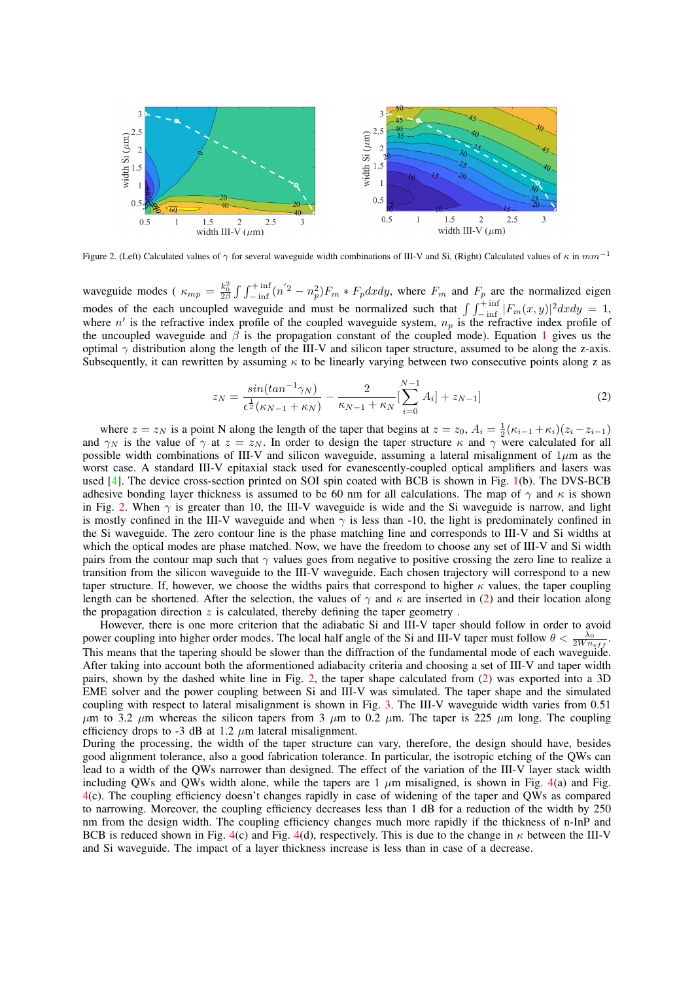

<span id="page-1-0"></span>Figure 2. (Left) Calculated values of  $\gamma$  for several waveguide width combinations of III-V and Si, (Right) Calculated values of  $\kappa$  in  $mm^{-1}$ 

waveguide modes ( $\kappa_{mp} = \frac{k_0^2}{2\beta} \int \int_{-\text{inf}}^{+\text{inf}} (n^{'2} - n_p^2) F_m * F_p dx dy$ , where  $F_m$  and  $F_p$  are the normalized eigen modes of the each uncoupled waveguide and must be normalized such that  $\int \int_{-\text{inf}}^{+\text{inf}} |F_m(x, y)|^2 dx dy = 1$ , where  $n'$  is the refractive index profile of the coupled waveguide system,  $n_p$  is the refractive index profile of the uncoupled waveguide and  $\beta$  is the propagation constant of the coupled mode). Equation [1](#page-0-1) gives us the optimal  $\gamma$  distribution along the length of the III-V and silicon taper structure, assumed to be along the z-axis. Subsequently, it can rewritten by assuming  $\kappa$  to be linearly varying between two consecutive points along z as

<span id="page-1-1"></span>
$$
z_N = \frac{\sin(\tan^{-1}\gamma_N)}{\epsilon^{\frac{1}{2}}(\kappa_{N-1} + \kappa_N)} - \frac{2}{\kappa_{N-1} + \kappa_N} \left[ \sum_{i=0}^{N-1} A_i \right] + z_{N-1} \tag{2}
$$

where  $z = z_N$  is a point N along the length of the taper that begins at  $z = z_0$ ,  $A_i = \frac{1}{2}(\kappa_{i-1} + \kappa_i)(z_i - z_{i-1})$ and  $\gamma_N$  is the value of  $\gamma$  at  $z = z_N$ . In order to design the taper structure  $\kappa$  and  $\gamma$  were calculated for all possible width combinations of III-V and silicon waveguide, assuming a lateral misalignment of  $1\mu$ m as the worst case. A standard III-V epitaxial stack used for evanescently-coupled optical amplifiers and lasers was used [\[4\]](#page-2-0). The device cross-section printed on SOI spin coated with BCB is shown in Fig. [1\(](#page-0-0)b). The DVS-BCB adhesive bonding layer thickness is assumed to be 60 nm for all calculations. The map of  $\gamma$  and  $\kappa$  is shown in Fig. [2.](#page-1-0) When  $\gamma$  is greater than 10, the III-V waveguide is wide and the Si waveguide is narrow, and light is mostly confined in the III-V waveguide and when  $\gamma$  is less than -10, the light is predominately confined in the Si waveguide. The zero contour line is the phase matching line and corresponds to III-V and Si widths at which the optical modes are phase matched. Now, we have the freedom to choose any set of III-V and Si width pairs from the contour map such that  $\gamma$  values goes from negative to positive crossing the zero line to realize a transition from the silicon waveguide to the III-V waveguide. Each chosen trajectory will correspond to a new taper structure. If, however, we choose the widths pairs that correspond to higher  $\kappa$  values, the taper coupling length can be shortened. After the selection, the values of  $\gamma$  and  $\kappa$  are inserted in [\(2\)](#page-1-1) and their location along the propagation direction  $z$  is calculated, thereby defining the taper geometry.

However, there is one more criterion that the adiabatic Si and III-V taper should follow in order to avoid power coupling into higher order modes. The local half angle of the Si and III-V taper must follow  $\theta < \frac{\lambda_0}{2W n_{eff}}$ . This means that the tapering should be slower than the diffraction of the fundamental mode of each waveguide. After taking into account both the aformentioned adiabacity criteria and choosing a set of III-V and taper width pairs, shown by the dashed white line in Fig. [2,](#page-1-0) the taper shape calculated from [\(2\)](#page-1-1) was exported into a 3D EME solver and the power coupling between Si and III-V was simulated. The taper shape and the simulated coupling with respect to lateral misalignment is shown in Fig. [3.](#page-2-4) The III-V waveguide width varies from 0.51  $\mu$ m to 3.2  $\mu$ m whereas the silicon tapers from 3  $\mu$ m to 0.2  $\mu$ m. The taper is 225  $\mu$ m long. The coupling efficiency drops to -3 dB at 1.2  $\mu$ m lateral misalignment.

During the processing, the width of the taper structure can vary, therefore, the design should have, besides good alignment tolerance, also a good fabrication tolerance. In particular, the isotropic etching of the QWs can lead to a width of the QWs narrower than designed. The effect of the variation of the III-V layer stack width including QWs and QWs width alone, while the tapers are 1  $\mu$ m misaligned, is shown in Fig. [4\(](#page-2-5)a) and Fig. [4\(](#page-2-5)c). The coupling efficiency doesn't changes rapidly in case of widening of the taper and QWs as compared to narrowing. Moreover, the coupling efficiency decreases less than 1 dB for a reduction of the width by 250 nm from the design width. The coupling efficiency changes much more rapidly if the thickness of n-InP and BCB is reduced shown in Fig. [4\(](#page-2-5)c) and Fig. 4(d), respectively. This is due to the change in  $\kappa$  between the III-V and Si waveguide. The impact of a layer thickness increase is less than in case of a decrease.